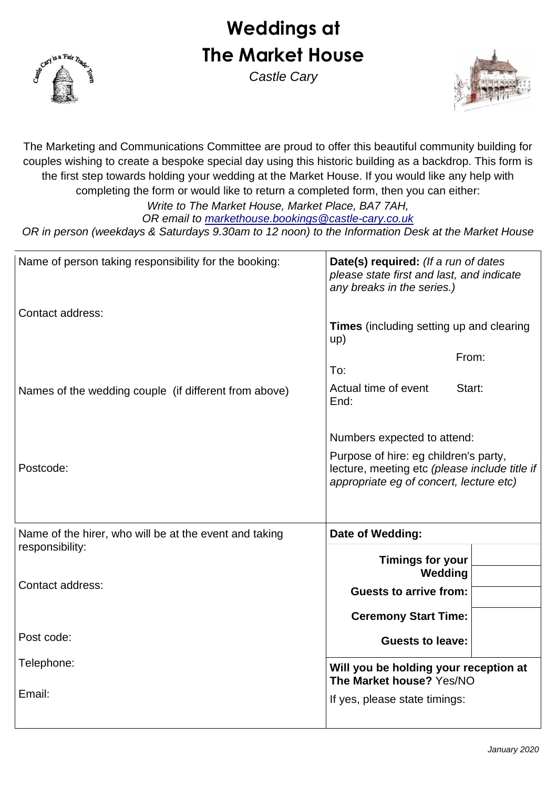# **Weddings at The Market House**



*Castle Cary*



The Marketing and Communications Committee are proud to offer this beautiful community building for couples wishing to create a bespoke special day using this historic building as a backdrop. This form is the first step towards holding your wedding at the Market House. If you would like any help with completing the form or would like to return a completed form, then you can either: *Write to The Market House, Market Place, BA7 7AH,*

*OR email to [markethouse.bookings@castle-cary.co.uk](mailto:markethouse.bookings@castle-cary.co.uk)*

*OR in person (weekdays & Saturdays 9.30am to 12 noon) to the Information Desk at the Market House*

| Name of person taking responsibility for the booking:  | Date(s) required: (If a run of dates<br>please state first and last, and indicate<br>any breaks in the series.)                   |  |  |
|--------------------------------------------------------|-----------------------------------------------------------------------------------------------------------------------------------|--|--|
| Contact address:                                       | <b>Times</b> (including setting up and clearing<br>up)                                                                            |  |  |
|                                                        | From:<br>To:                                                                                                                      |  |  |
| Names of the wedding couple (if different from above)  | Actual time of event<br>Start:<br>End:                                                                                            |  |  |
|                                                        | Numbers expected to attend:                                                                                                       |  |  |
| Postcode:                                              | Purpose of hire: eg children's party,<br>lecture, meeting etc (please include title if<br>appropriate eg of concert, lecture etc) |  |  |
| Name of the hirer, who will be at the event and taking | Date of Wedding:                                                                                                                  |  |  |
| responsibility:                                        |                                                                                                                                   |  |  |
|                                                        | <b>Timings for your</b><br>Wedding                                                                                                |  |  |
| Contact address:                                       | <b>Guests to arrive from:</b>                                                                                                     |  |  |
|                                                        |                                                                                                                                   |  |  |
|                                                        | <b>Ceremony Start Time:</b>                                                                                                       |  |  |
| Post code:                                             | <b>Guests to leave:</b>                                                                                                           |  |  |
| Telephone:                                             | Will you be holding your reception at<br>The Market house? Yes/NO                                                                 |  |  |
| Email:                                                 | If yes, please state timings:                                                                                                     |  |  |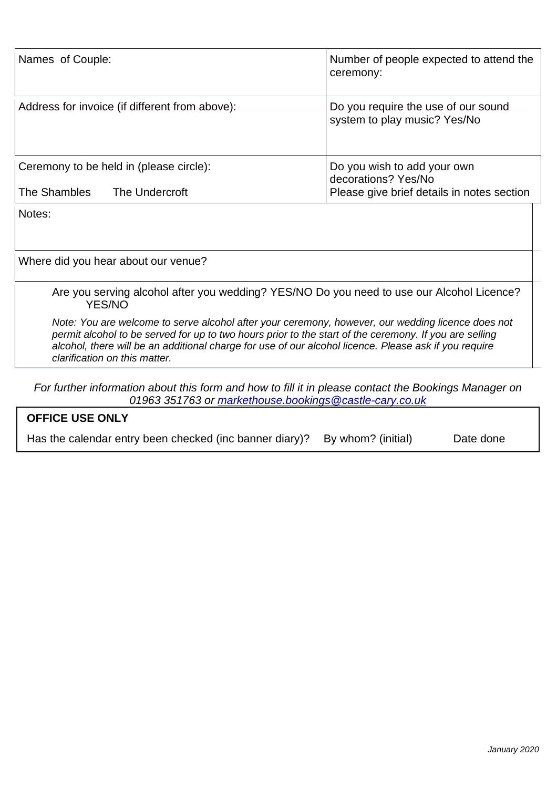| Names of Couple:                                                                                                                                                                                                                                 | Number of people expected to attend the<br>ceremony:                                              |
|--------------------------------------------------------------------------------------------------------------------------------------------------------------------------------------------------------------------------------------------------|---------------------------------------------------------------------------------------------------|
| Address for invoice (if different from above):                                                                                                                                                                                                   | Do you require the use of our sound<br>system to play music? Yes/No                               |
| Ceremony to be held in (please circle):                                                                                                                                                                                                          | Do you wish to add your own<br>decorations? Yes/No                                                |
| The Shambles<br>The Undercroft                                                                                                                                                                                                                   | Please give brief details in notes section                                                        |
| Notes:                                                                                                                                                                                                                                           |                                                                                                   |
| Where did you hear about our venue?                                                                                                                                                                                                              |                                                                                                   |
| <b>YES/NO</b>                                                                                                                                                                                                                                    | Are you serving alcohol after you wedding? YES/NO Do you need to use our Alcohol Licence?         |
| permit alcohol to be served for up to two hours prior to the start of the ceremony. If you are selling<br>alcohol, there will be an additional charge for use of our alcohol licence. Please ask if you require<br>clarification on this matter. | Note: You are welcome to serve alcohol after your ceremony, however, our wedding licence does not |

| For further information about this form and how to fill it in please contact the Bookings Manager on |  |
|------------------------------------------------------------------------------------------------------|--|
| 01963 351763 or markethouse.bookings @castle-cary.co.uk                                              |  |

| <u>0 1900 OU FIDO OF HIGHNOLIOUSO.DOONIHOS @CASHO-CALV.CO.UN</u>           |           |
|----------------------------------------------------------------------------|-----------|
| <b>OFFICE USE ONLY</b>                                                     |           |
| Has the calendar entry been checked (inc banner diary)? By whom? (initial) | Date done |